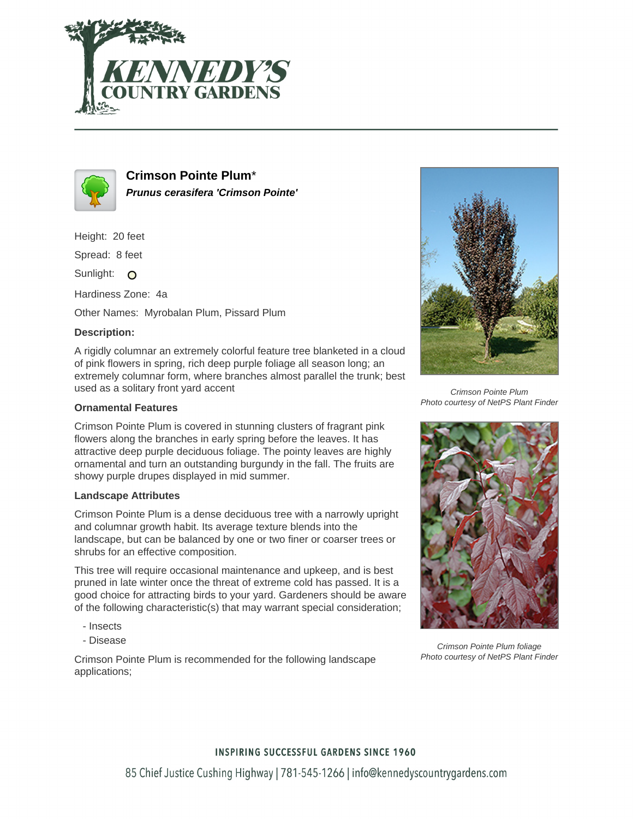



**Crimson Pointe Plum**\* **Prunus cerasifera 'Crimson Pointe'**

Height: 20 feet

Spread: 8 feet

Sunlight: O

Hardiness Zone: 4a

Other Names: Myrobalan Plum, Pissard Plum

## **Description:**

A rigidly columnar an extremely colorful feature tree blanketed in a cloud of pink flowers in spring, rich deep purple foliage all season long; an extremely columnar form, where branches almost parallel the trunk; best used as a solitary front yard accent

### **Ornamental Features**

Crimson Pointe Plum is covered in stunning clusters of fragrant pink flowers along the branches in early spring before the leaves. It has attractive deep purple deciduous foliage. The pointy leaves are highly ornamental and turn an outstanding burgundy in the fall. The fruits are showy purple drupes displayed in mid summer.

#### **Landscape Attributes**

Crimson Pointe Plum is a dense deciduous tree with a narrowly upright and columnar growth habit. Its average texture blends into the landscape, but can be balanced by one or two finer or coarser trees or shrubs for an effective composition.

This tree will require occasional maintenance and upkeep, and is best pruned in late winter once the threat of extreme cold has passed. It is a good choice for attracting birds to your yard. Gardeners should be aware of the following characteristic(s) that may warrant special consideration;

- Insects
- Disease

Crimson Pointe Plum is recommended for the following landscape applications;



Crimson Pointe Plum Photo courtesy of NetPS Plant Finder



Crimson Pointe Plum foliage Photo courtesy of NetPS Plant Finder

# **INSPIRING SUCCESSFUL GARDENS SINCE 1960**